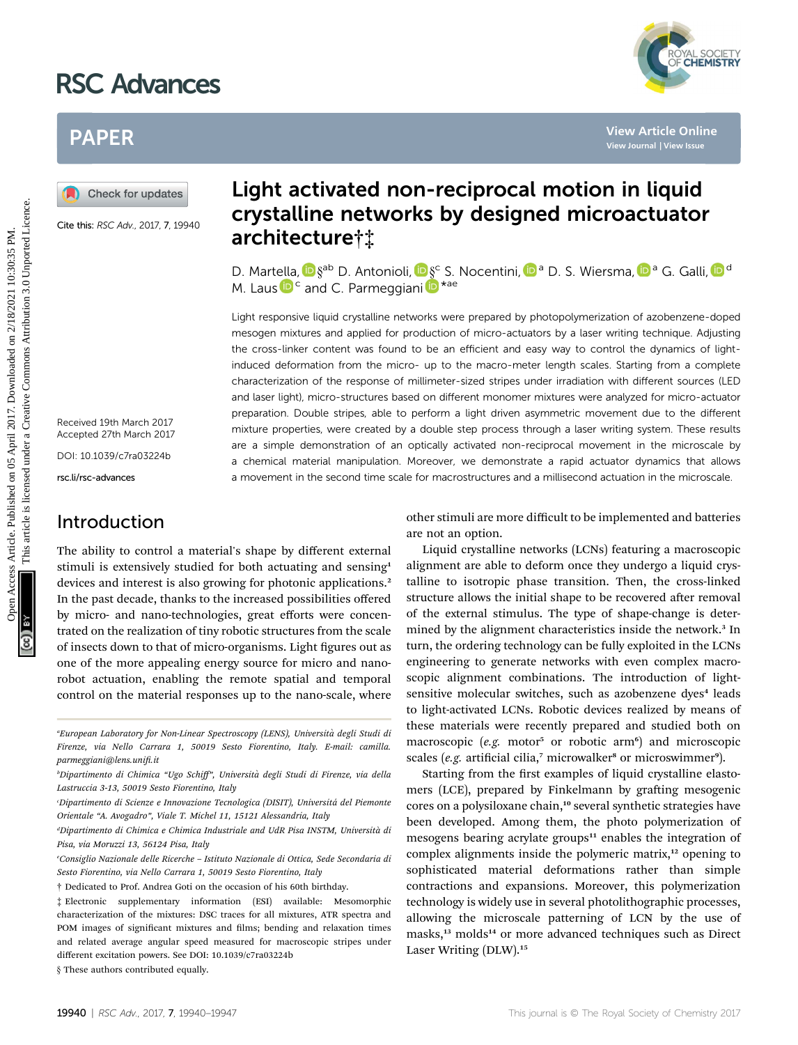# RSC Advances



# PAPER

Cite this: RSC Adv., 2017, 7, 19940

Received 19th March 2017 Accepted 27th March 2017

DOI: 10.1039/c7ra03224b

rsc.li/rsc-advances

### Introduction

The ability to control a material's shape by different external stimuli is extensively studied for both actuating and sensing<sup>1</sup> devices and interest is also growing for photonic applications.<sup>2</sup> In the past decade, thanks to the increased possibilities offered by micro- and nano-technologies, great efforts were concentrated on the realization of tiny robotic structures from the scale of insects down to that of micro-organisms. Light figures out as one of the more appealing energy source for micro and nanorobot actuation, enabling the remote spatial and temporal control on the material responses up to the nano-scale, where

## Light activated non-reciprocal motion in liquid crystalline networks by designed microactuator architecture†‡

D. Martella,  $\blacksquare \S^{ab}$  D. Antonioli,  $\blacksquare \S^c$  S. Nocentini,  $\blacksquare$ <sup>a</sup> D. S. Wiersma,  $\blacksquare$ <sup>a</sup> G. Galli,  $\blacksquare$ <sup>d</sup> M. Lau[s](http://orcid.org/0000-0001-8150-7425)  $\mathbf{D}^{\mathsf{c}}$  and C. Parmeggiani  $\mathbf{D}^{\star}$ <sup>ae</sup>

Light responsive liquid crystalline networks were prepared by photopolymerization of azobenzene-doped mesogen mixtures and applied for production of micro-actuators by a laser writing technique. Adjusting the cross-linker content was found to be an efficient and easy way to control the dynamics of lightinduced deformation from the micro- up to the macro-meter length scales. Starting from a complete characterization of the response of millimeter-sized stripes under irradiation with different sources (LED and laser light), micro-structures based on different monomer mixtures were analyzed for micro-actuator preparation. Double stripes, able to perform a light driven asymmetric movement due to the different mixture properties, were created by a double step process through a laser writing system. These results are a simple demonstration of an optically activated non-reciprocal movement in the microscale by a chemical material manipulation. Moreover, we demonstrate a rapid actuator dynamics that allows a movement in the second time scale for macrostructures and a millisecond actuation in the microscale. PAPER<br> **Example the set of the set of the set of the set of the set of the set of the set of the set of the set of the set of the set of the set of the set of the set of the set of the set of the set of the set of the set** 

other stimuli are more difficult to be implemented and batteries are not an option.

Liquid crystalline networks (LCNs) featuring a macroscopic alignment are able to deform once they undergo a liquid crystalline to isotropic phase transition. Then, the cross-linked structure allows the initial shape to be recovered after removal of the external stimulus. The type of shape-change is determined by the alignment characteristics inside the network.<sup>3</sup> In turn, the ordering technology can be fully exploited in the LCNs engineering to generate networks with even complex macroscopic alignment combinations. The introduction of lightsensitive molecular switches, such as azobenzene dyes<sup>4</sup> leads to light-activated LCNs. Robotic devices realized by means of these materials were recently prepared and studied both on macroscopic (e.g. motor<sup>5</sup> or robotic arm<sup>6</sup>) and microscopic scales (e.g. artificial cilia, $^7$  microwalker<sup>8</sup> or microswimmer<sup>9</sup>).

Starting from the first examples of liquid crystalline elastomers (LCE), prepared by Finkelmann by grafting mesogenic cores on a polysiloxane chain,<sup>10</sup> several synthetic strategies have been developed. Among them, the photo polymerization of mesogens bearing acrylate groups<sup>11</sup> enables the integration of complex alignments inside the polymeric matrix,<sup>12</sup> opening to sophisticated material deformations rather than simple contractions and expansions. Moreover, this polymerization technology is widely use in several photolithographic processes, allowing the microscale patterning of LCN by the use of masks,<sup>13</sup> molds<sup>14</sup> or more advanced techniques such as Direct Laser Writing (DLW).<sup>15</sup>

<sup>&</sup>quot;European Laboratory for Non-Linear Spectroscopy (LENS), Università degli Studi di Firenze, via Nello Carrara 1, 50019 Sesto Fiorentino, Italy. E-mail: camilla. parmeggiani@lens.unifi.it

b Dipartimento di Chimica "Ugo Schiff", Universita degli Studi di Firenze, via della ` Lastruccia 3-13, 50019 Sesto Fiorentino, Italy

Dipartimento di Scienze e Innovazione Tecnologica (DISIT), Universitá del Piemonte Orientale "A. Avogadro", Viale T. Michel 11, 15121 Alessandria, Italy

dDipartimento di Chimica e Chimica Industriale and UdR Pisa INSTM, Università di Pisa, via Moruzzi 13, 56124 Pisa, Italy

e Consiglio Nazionale delle Ricerche – Istituto Nazionale di Ottica, Sede Secondaria di Sesto Fiorentino, via Nello Carrara 1, 50019 Sesto Fiorentino, Italy

<sup>†</sup> Dedicated to Prof. Andrea Goti on the occasion of his 60th birthday.

<sup>‡</sup> Electronic supplementary information (ESI) available: Mesomorphic characterization of the mixtures: DSC traces for all mixtures, ATR spectra and POM images of significant mixtures and films; bending and relaxation times and related average angular speed measured for macroscopic stripes under different excitation powers. See DOI: 10.1039/c7ra03224b

<sup>§</sup> These authors contributed equally.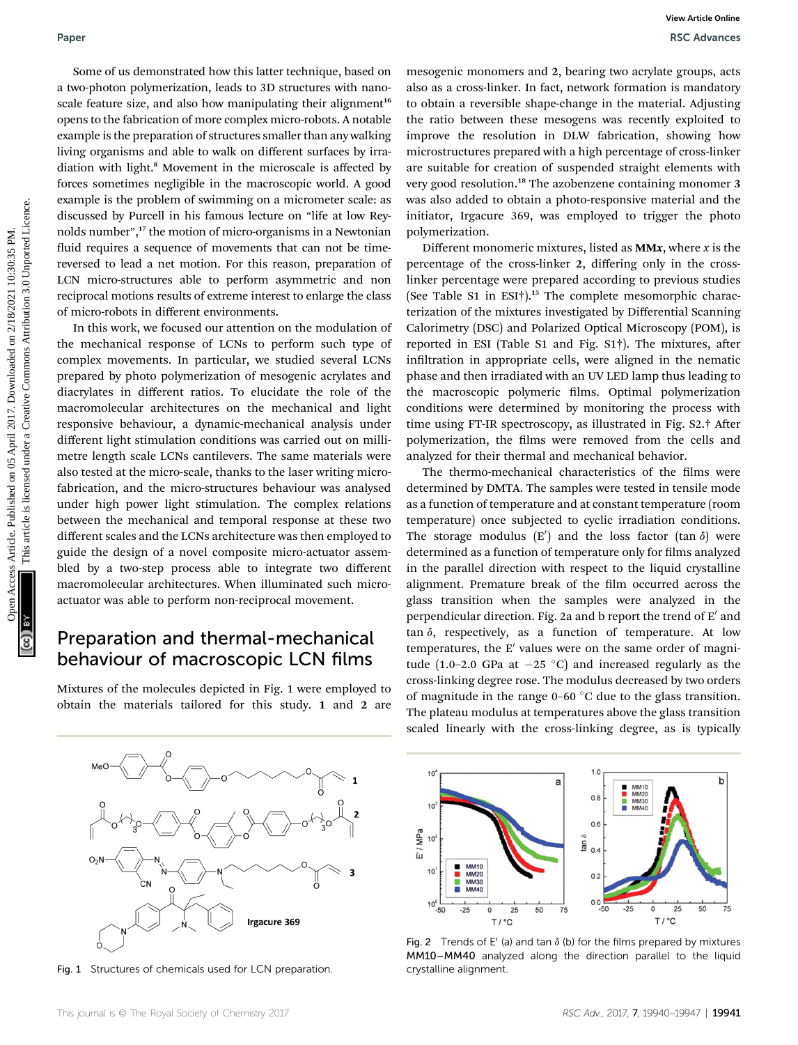Some of us demonstrated how this latter technique, based on a two-photon polymerization, leads to 3D structures with nanoscale feature size, and also how manipulating their alignment<sup>16</sup> opens to the fabrication of more complex micro-robots. A notable example is the preparation of structures smaller than any walking living organisms and able to walk on different surfaces by irradiation with light.<sup>8</sup> Movement in the microscale is affected by forces sometimes negligible in the macroscopic world. A good example is the problem of swimming on a micrometer scale: as discussed by Purcell in his famous lecture on "life at low Reynolds number", <sup>17</sup> the motion of micro-organisms in a Newtonian fluid requires a sequence of movements that can not be timereversed to lead a net motion. For this reason, preparation of LCN micro-structures able to perform asymmetric and non reciprocal motions results of extreme interest to enlarge the class of micro-robots in different environments.

In this work, we focused our attention on the modulation of the mechanical response of LCNs to perform such type of complex movements. In particular, we studied several LCNs prepared by photo polymerization of mesogenic acrylates and diacrylates in different ratios. To elucidate the role of the macromolecular architectures on the mechanical and light responsive behaviour, a dynamic-mechanical analysis under different light stimulation conditions was carried out on millimetre length scale LCNs cantilevers. The same materials were also tested at the micro-scale, thanks to the laser writing microfabrication, and the micro-structures behaviour was analysed under high power light stimulation. The complex relations between the mechanical and temporal response at these two different scales and the LCNs architecture was then employed to guide the design of a novel composite micro-actuator assembled by a two-step process able to integrate two different macromolecular architectures. When illuminated such microactuator was able to perform non-reciprocal movement. Paper<br>
Scale are proportional how this latter trchnique, based on managenic monomers and 2, bearing to serve the comparison of the comparison of the creative of the creative Commons Commons are the comparison of the common

### Preparation and thermal-mechanical behaviour of macroscopic LCN films

Mixtures of the molecules depicted in Fig. 1 were employed to obtain the materials tailored for this study. 1 and 2 are



Fig. 1 Structures of chemicals used for LCN preparation.

mesogenic monomers and 2, bearing two acrylate groups, acts also as a cross-linker. In fact, network formation is mandatory to obtain a reversible shape-change in the material. Adjusting the ratio between these mesogens was recently exploited to improve the resolution in DLW fabrication, showing how microstructures prepared with a high percentage of cross-linker are suitable for creation of suspended straight elements with very good resolution.<sup>18</sup> The azobenzene containing monomer 3 was also added to obtain a photo-responsive material and the initiator, Irgacure 369, was employed to trigger the photo polymerization.

Different monomeric mixtures, listed as  $M M x$ , where  $x$  is the percentage of the cross-linker 2, differing only in the crosslinker percentage were prepared according to previous studies (See Table S1 in ESI†).<sup>15</sup> The complete mesomorphic characterization of the mixtures investigated by Differential Scanning Calorimetry (DSC) and Polarized Optical Microscopy (POM), is reported in ESI (Table S1 and Fig.  $S1\dagger$ ). The mixtures, after infiltration in appropriate cells, were aligned in the nematic phase and then irradiated with an UV LED lamp thus leading to the macroscopic polymeric films. Optimal polymerization conditions were determined by monitoring the process with time using FT-IR spectroscopy, as illustrated in Fig. S2.† After polymerization, the films were removed from the cells and analyzed for their thermal and mechanical behavior.

The thermo-mechanical characteristics of the films were determined by DMTA. The samples were tested in tensile mode as a function of temperature and at constant temperature (room temperature) once subjected to cyclic irradiation conditions. The storage modulus  $(E')$  and the loss factor (tan  $\delta$ ) were determined as a function of temperature only for films analyzed in the parallel direction with respect to the liquid crystalline alignment. Premature break of the film occurred across the glass transition when the samples were analyzed in the perpendicular direction. Fig. 2a and b report the trend of  $E'$  and tan  $\delta$ , respectively, as a function of temperature. At low temperatures, the  $E'$  values were on the same order of magnitude (1.0–2.0 GPa at  $-25$  °C) and increased regularly as the cross-linking degree rose. The modulus decreased by two orders of magnitude in the range  $0-60$  °C due to the glass transition. The plateau modulus at temperatures above the glass transition scaled linearly with the cross-linking degree, as is typically



Fig. 2 Trends of E' (a) and tan  $\delta$  (b) for the films prepared by mixtures MM10–MM40 analyzed along the direction parallel to the liquid crystalline alignment.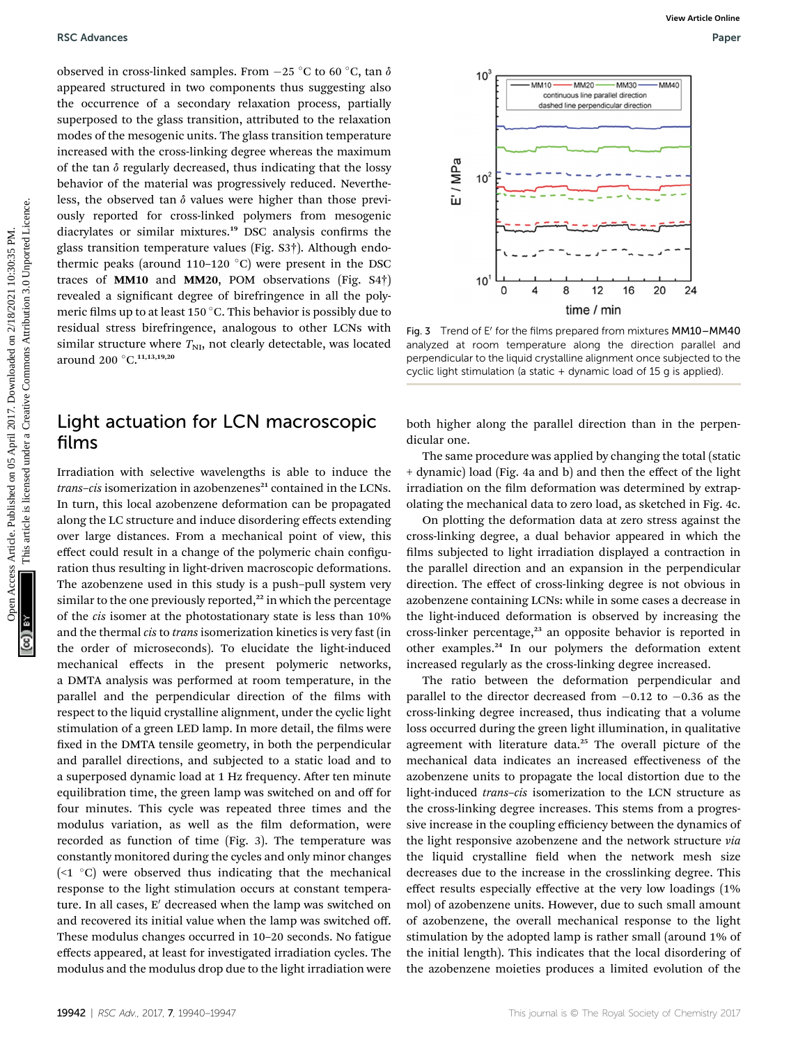observed in cross-linked samples. From  $-25$  °C to 60 °C, tan  $\delta$ appeared structured in two components thus suggesting also the occurrence of a secondary relaxation process, partially superposed to the glass transition, attributed to the relaxation modes of the mesogenic units. The glass transition temperature increased with the cross-linking degree whereas the maximum of the tan  $\delta$  regularly decreased, thus indicating that the lossy behavior of the material was progressively reduced. Nevertheless, the observed tan  $\delta$  values were higher than those previously reported for cross-linked polymers from mesogenic diacrylates or similar mixtures.<sup>19</sup> DSC analysis confirms the glass transition temperature values (Fig. S3†). Although endothermic peaks (around 110–120  $^{\circ}$ C) were present in the DSC traces of MM10 and MM20, POM observations (Fig. S4†) revealed a significant degree of birefringence in all the polymeric films up to at least 150  $\degree$ C. This behavior is possibly due to residual stress birefringence, analogous to other LCNs with similar structure where  $T_{NI}$ , not clearly detectable, was located around 200 °C.<sup>11,13,19,20</sup> **Exchanges**<br>
Operator annouated in the computer site way expect at the plane transition and the plane transition article in the respective and the material common control of the material was proporated. Neverture in the m

### Light actuation for LCN macroscopic films

Irradiation with selective wavelengths is able to induce the  $trans-cis$  isomerization in azobenzenes $^{21}$  contained in the LCNs. In turn, this local azobenzene deformation can be propagated along the LC structure and induce disordering effects extending over large distances. From a mechanical point of view, this effect could result in a change of the polymeric chain configuration thus resulting in light-driven macroscopic deformations. The azobenzene used in this study is a push–pull system very similar to the one previously reported,<sup>22</sup> in which the percentage of the cis isomer at the photostationary state is less than 10% and the thermal cis to trans isomerization kinetics is very fast (in the order of microseconds). To elucidate the light-induced mechanical effects in the present polymeric networks, a DMTA analysis was performed at room temperature, in the parallel and the perpendicular direction of the films with respect to the liquid crystalline alignment, under the cyclic light stimulation of a green LED lamp. In more detail, the films were fixed in the DMTA tensile geometry, in both the perpendicular and parallel directions, and subjected to a static load and to a superposed dynamic load at 1 Hz frequency. After ten minute equilibration time, the green lamp was switched on and off for four minutes. This cycle was repeated three times and the modulus variation, as well as the film deformation, were recorded as function of time (Fig. 3). The temperature was constantly monitored during the cycles and only minor changes ( $\leq$ 1 °C) were observed thus indicating that the mechanical response to the light stimulation occurs at constant temperature. In all cases,  $E'$  decreased when the lamp was switched on and recovered its initial value when the lamp was switched off. These modulus changes occurred in 10–20 seconds. No fatigue effects appeared, at least for investigated irradiation cycles. The modulus and the modulus drop due to the light irradiation were



Fig. 3 Trend of E' for the films prepared from mixtures MM10–MM40 analyzed at room temperature along the direction parallel and perpendicular to the liquid crystalline alignment once subjected to the cyclic light stimulation (a static + dynamic load of 15 g is applied).

both higher along the parallel direction than in the perpendicular one.

The same procedure was applied by changing the total (static + dynamic) load (Fig. 4a and b) and then the effect of the light irradiation on the film deformation was determined by extrapolating the mechanical data to zero load, as sketched in Fig. 4c.

On plotting the deformation data at zero stress against the cross-linking degree, a dual behavior appeared in which the films subjected to light irradiation displayed a contraction in the parallel direction and an expansion in the perpendicular direction. The effect of cross-linking degree is not obvious in azobenzene containing LCNs: while in some cases a decrease in the light-induced deformation is observed by increasing the cross-linker percentage,<sup>23</sup> an opposite behavior is reported in other examples.<sup>24</sup> In our polymers the deformation extent increased regularly as the cross-linking degree increased.

The ratio between the deformation perpendicular and parallel to the director decreased from  $-0.12$  to  $-0.36$  as the cross-linking degree increased, thus indicating that a volume loss occurred during the green light illumination, in qualitative agreement with literature data.<sup>25</sup> The overall picture of the mechanical data indicates an increased effectiveness of the azobenzene units to propagate the local distortion due to the light-induced trans–cis isomerization to the LCN structure as the cross-linking degree increases. This stems from a progressive increase in the coupling efficiency between the dynamics of the light responsive azobenzene and the network structure via the liquid crystalline field when the network mesh size decreases due to the increase in the crosslinking degree. This effect results especially effective at the very low loadings (1% mol) of azobenzene units. However, due to such small amount of azobenzene, the overall mechanical response to the light stimulation by the adopted lamp is rather small (around 1% of the initial length). This indicates that the local disordering of the azobenzene moieties produces a limited evolution of the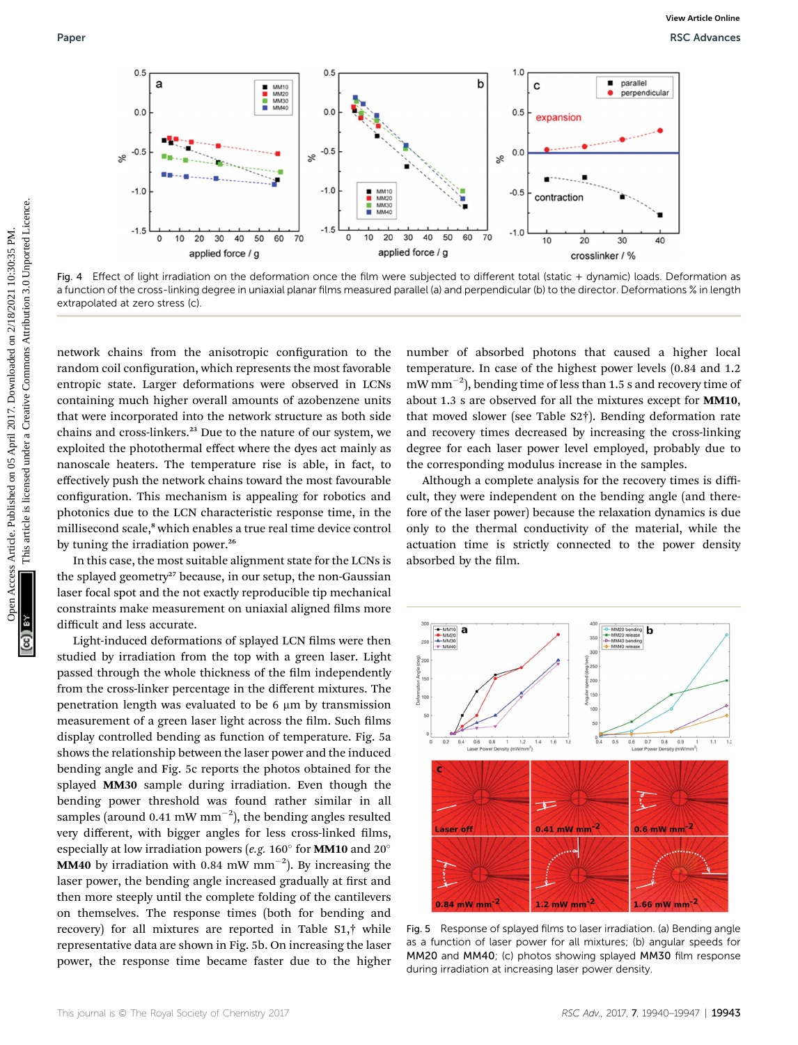

Fig. 4 Effect of light irradiation on the deformation once the film were subjected to different total (static + dynamic) loads. Deformation as a function of the cross-linking degree in uniaxial planar films measured parallel (a) and perpendicular (b) to the director. Deformations % in length extrapolated at zero stress (c).

network chains from the anisotropic configuration to the random coil configuration, which represents the most favorable entropic state. Larger deformations were observed in LCNs containing much higher overall amounts of azobenzene units that were incorporated into the network structure as both side chains and cross-linkers.<sup>23</sup> Due to the nature of our system, we exploited the photothermal effect where the dyes act mainly as nanoscale heaters. The temperature rise is able, in fact, to effectively push the network chains toward the most favourable configuration. This mechanism is appealing for robotics and photonics due to the LCN characteristic response time, in the millisecond scale,<sup>8</sup> which enables a true real time device control by tuning the irradiation power.<sup>26</sup>

In this case, the most suitable alignment state for the LCNs is the splayed geometry<sup>27</sup> because, in our setup, the non-Gaussian laser focal spot and the not exactly reproducible tip mechanical constraints make measurement on uniaxial aligned films more difficult and less accurate.

Light-induced deformations of splayed LCN films were then studied by irradiation from the top with a green laser. Light passed through the whole thickness of the film independently from the cross-linker percentage in the different mixtures. The penetration length was evaluated to be  $6 \mu m$  by transmission measurement of a green laser light across the film. Such films display controlled bending as function of temperature. Fig. 5a shows the relationship between the laser power and the induced bending angle and Fig. 5c reports the photos obtained for the splayed MM30 sample during irradiation. Even though the bending power threshold was found rather similar in all samples (around 0.41 mW  $mm^{-2}$ ), the bending angles resulted very different, with bigger angles for less cross-linked films, especially at low irradiation powers (e.g. 160 $\textdegree$  for **MM10** and 20 $\textdegree$ **MM40** by irradiation with 0.84 mW mm<sup>-2</sup>). By increasing the laser power, the bending angle increased gradually at first and then more steeply until the complete folding of the cantilevers on themselves. The response times (both for bending and recovery) for all mixtures are reported in Table S1,† while representative data are shown in Fig. 5b. On increasing the laser power, the response time became faster due to the higher number of absorbed photons that caused a higher local temperature. In case of the highest power levels (0.84 and 1.2  $\rm{mW\,mm^{-2}}$ ), bending time of less than 1.5 s and recovery time of about 1.3 s are observed for all the mixtures except for MM10, that moved slower (see Table S2†). Bending deformation rate and recovery times decreased by increasing the cross-linking degree for each laser power level employed, probably due to the corresponding modulus increase in the samples.

Although a complete analysis for the recovery times is difficult, they were independent on the bending angle (and therefore of the laser power) because the relaxation dynamics is due only to the thermal conductivity of the material, while the actuation time is strictly connected to the power density absorbed by the film.



Fig. 5 Response of splayed films to laser irradiation. (a) Bending angle as a function of laser power for all mixtures; (b) angular speeds for MM20 and MM40; (c) photos showing splayed MM30 film response during irradiation at increasing laser power density.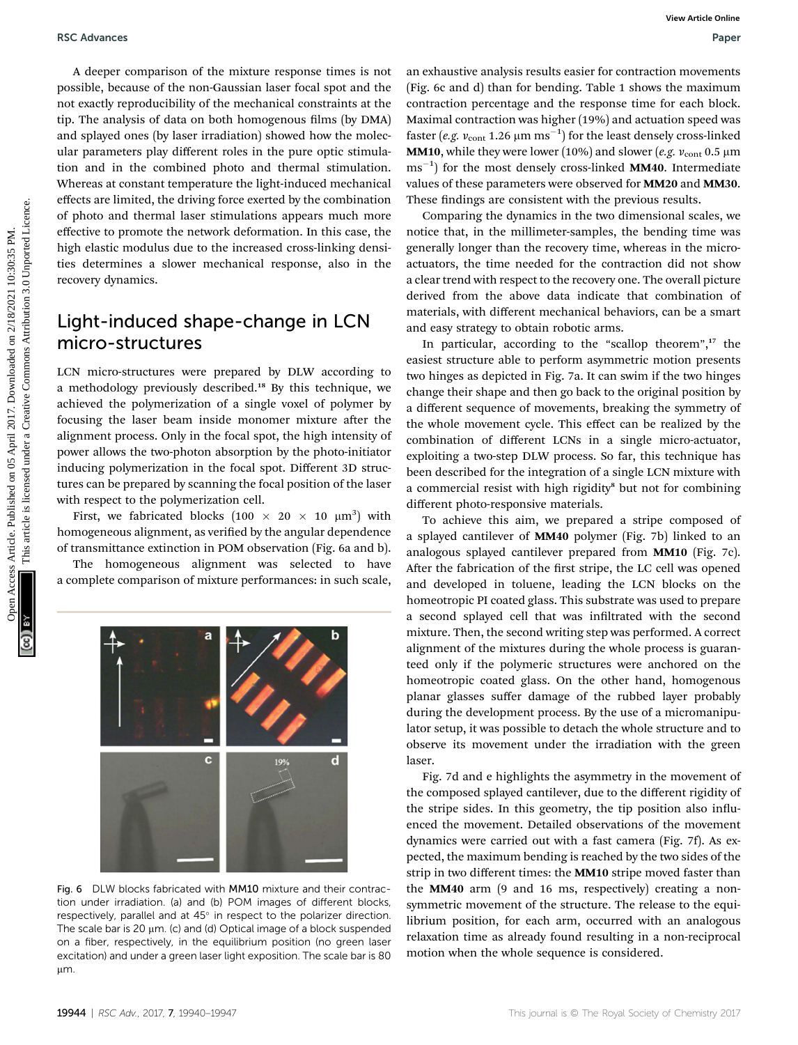A deeper comparison of the mixture response times is not possible, because of the non-Gaussian laser focal spot and the not exactly reproducibility of the mechanical constraints at the tip. The analysis of data on both homogenous films (by DMA) and splayed ones (by laser irradiation) showed how the molecular parameters play different roles in the pure optic stimulation and in the combined photo and thermal stimulation. Whereas at constant temperature the light-induced mechanical effects are limited, the driving force exerted by the combination of photo and thermal laser stimulations appears much more effective to promote the network deformation. In this case, the high elastic modulus due to the increased cross-linking densities determines a slower mechanical response, also in the recovery dynamics. **EXAMPERTS ARE CONSULTER THE CONSULTER CONSULTER CONSULTER CONSULTER CONSULTER CONSULTER CONSULTER CONSULTER CONSULTER CONSULTER CONSULTER CONSULTER CONSULTER CONSULTER CONSULTER CONSULTER CONSULTER CONSULTER CONSULTER CO** 

### Light-induced shape-change in LCN micro-structures

LCN micro-structures were prepared by DLW according to a methodology previously described.<sup>18</sup> By this technique, we achieved the polymerization of a single voxel of polymer by focusing the laser beam inside monomer mixture after the alignment process. Only in the focal spot, the high intensity of power allows the two-photon absorption by the photo-initiator inducing polymerization in the focal spot. Different 3D structures can be prepared by scanning the focal position of the laser with respect to the polymerization cell.

First, we fabricated blocks  $(100 \times 20 \times 10 \mu m^3)$  with homogeneous alignment, as verified by the angular dependence of transmittance extinction in POM observation (Fig. 6a and b).

The homogeneous alignment was selected to have a complete comparison of mixture performances: in such scale,



Fig. 6 DLW blocks fabricated with MM10 mixture and their contraction under irradiation. (a) and (b) POM images of different blocks, respectively, parallel and at  $45^\circ$  in respect to the polarizer direction. The scale bar is 20  $\mu$ m. (c) and (d) Optical image of a block suspended on a fiber, respectively, in the equilibrium position (no green laser excitation) and under a green laser light exposition. The scale bar is 80 μm.

an exhaustive analysis results easier for contraction movements (Fig. 6c and d) than for bending. Table 1 shows the maximum contraction percentage and the response time for each block. Maximal contraction was higher (19%) and actuation speed was faster (e.g.  $v_{\rm cont}$  1.26  $\mu{\rm m\ ms}^{-1})$  for the least densely cross-linked **MM10**, while they were lower (10%) and slower (e.g.  $v_{\text{cont}}$  0.5  $\mu$ m ms<sup>-1</sup>) for the most densely cross-linked MM40. Intermediate values of these parameters were observed for MM20 and MM30. These findings are consistent with the previous results.

Comparing the dynamics in the two dimensional scales, we notice that, in the millimeter-samples, the bending time was generally longer than the recovery time, whereas in the microactuators, the time needed for the contraction did not show a clear trend with respect to the recovery one. The overall picture derived from the above data indicate that combination of materials, with different mechanical behaviors, can be a smart and easy strategy to obtain robotic arms.

In particular, according to the "scallop theorem", <sup>17</sup> the easiest structure able to perform asymmetric motion presents two hinges as depicted in Fig. 7a. It can swim if the two hinges change their shape and then go back to the original position by a different sequence of movements, breaking the symmetry of the whole movement cycle. This effect can be realized by the combination of different LCNs in a single micro-actuator, exploiting a two-step DLW process. So far, this technique has been described for the integration of a single LCN mixture with a commercial resist with high rigidity<sup>8</sup> but not for combining different photo-responsive materials.

To achieve this aim, we prepared a stripe composed of a splayed cantilever of MM40 polymer (Fig. 7b) linked to an analogous splayed cantilever prepared from MM10 (Fig. 7c). After the fabrication of the first stripe, the LC cell was opened and developed in toluene, leading the LCN blocks on the homeotropic PI coated glass. This substrate was used to prepare a second splayed cell that was infiltrated with the second mixture. Then, the second writing step was performed. A correct alignment of the mixtures during the whole process is guaranteed only if the polymeric structures were anchored on the homeotropic coated glass. On the other hand, homogenous planar glasses suffer damage of the rubbed layer probably during the development process. By the use of a micromanipulator setup, it was possible to detach the whole structure and to observe its movement under the irradiation with the green laser.

Fig. 7d and e highlights the asymmetry in the movement of the composed splayed cantilever, due to the different rigidity of the stripe sides. In this geometry, the tip position also influenced the movement. Detailed observations of the movement dynamics were carried out with a fast camera (Fig. 7f). As expected, the maximum bending is reached by the two sides of the strip in two different times: the **MM10** stripe moved faster than the MM40 arm (9 and 16 ms, respectively) creating a nonsymmetric movement of the structure. The release to the equilibrium position, for each arm, occurred with an analogous relaxation time as already found resulting in a non-reciprocal motion when the whole sequence is considered.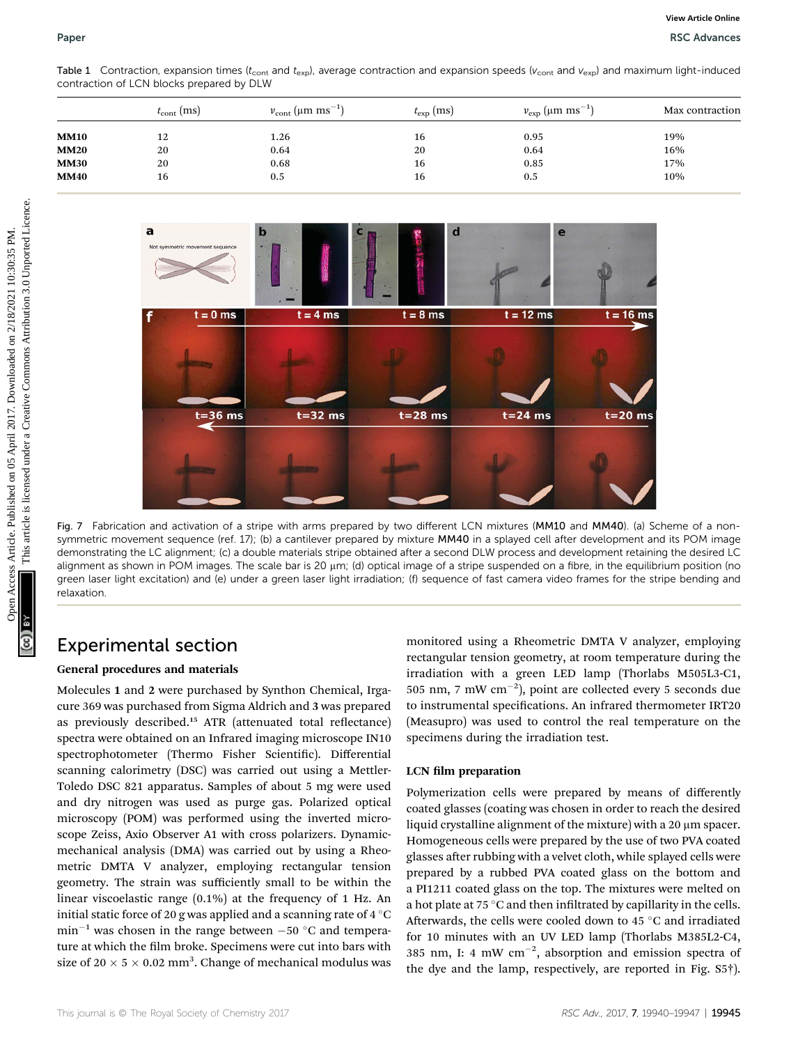Table 1 Contraction, expansion times ( $t_{\text{cont}}$  and  $t_{\text{exp}}$ ), average contraction and expansion speeds ( $v_{\text{cont}}$  and  $v_{\text{exp}}$ ) and maximum light-induced contraction of LCN blocks prepared by DLW

|             | $t_{\rm cont}$ (ms) | $v_{\rm cont}$ (µm ms <sup>-1</sup> ) | $t_{\rm exp}$ (ms) | $v_{\rm exp}$ (µm ms <sup>-1</sup> ) | Max contraction |
|-------------|---------------------|---------------------------------------|--------------------|--------------------------------------|-----------------|
| <b>MM10</b> | 12                  | 1.26                                  | 16                 | 0.95                                 | 19%             |
| <b>MM20</b> | 20                  | 0.64                                  | 20                 | 0.64                                 | 16%             |
| <b>MM30</b> | 20                  | 0.68                                  | 16                 | 0.85                                 | 17%             |
| <b>MM40</b> | 16                  | 0.5                                   | 16                 | 0.5                                  | 10%             |
|             |                     |                                       |                    |                                      |                 |



Fig. 7 Fabrication and activation of a stripe with arms prepared by two different LCN mixtures (MM10 and MM40). (a) Scheme of a nonsymmetric movement sequence (ref. 17); (b) a cantilever prepared by mixture MM40 in a splayed cell after development and its POM image demonstrating the LC alignment; (c) a double materials stripe obtained after a second DLW process and development retaining the desired LC alignment as shown in POM images. The scale bar is 20 µm; (d) optical image of a stripe suspended on a fibre, in the equilibrium position (no green laser light excitation) and (e) under a green laser light irradiation; (f) sequence of fast camera video frames for the stripe bending and relaxation.

### Experimental section

#### General procedures and materials

Molecules 1 and 2 were purchased by Synthon Chemical, Irgacure 369 was purchased from Sigma Aldrich and 3 was prepared as previously described.<sup>15</sup> ATR (attenuated total reflectance) spectra were obtained on an Infrared imaging microscope IN10 spectrophotometer (Thermo Fisher Scientific). Differential scanning calorimetry (DSC) was carried out using a Mettler-Toledo DSC 821 apparatus. Samples of about 5 mg were used and dry nitrogen was used as purge gas. Polarized optical microscopy (POM) was performed using the inverted microscope Zeiss, Axio Observer A1 with cross polarizers. Dynamicmechanical analysis (DMA) was carried out by using a Rheometric DMTA V analyzer, employing rectangular tension geometry. The strain was sufficiently small to be within the linear viscoelastic range (0.1%) at the frequency of 1 Hz. An initial static force of 20 g was applied and a scanning rate of 4  $^{\circ}$ C  $min^{-1}$  was chosen in the range between  $-50$  °C and temperature at which the film broke. Specimens were cut into bars with size of 20  $\times$  5  $\times$  0.02 mm<sup>3</sup>. Change of mechanical modulus was

monitored using a Rheometric DMTA V analyzer, employing rectangular tension geometry, at room temperature during the irradiation with a green LED lamp (Thorlabs M505L3-C1, 505 nm, 7 mW cm-2 ), point are collected every 5 seconds due to instrumental specifications. An infrared thermometer IRT20 (Measupro) was used to control the real temperature on the specimens during the irradiation test.

#### LCN film preparation

Polymerization cells were prepared by means of differently coated glasses (coating was chosen in order to reach the desired liquid crystalline alignment of the mixture) with a  $20 \mu m$  spacer. Homogeneous cells were prepared by the use of two PVA coated glasses after rubbing with a velvet cloth, while splayed cells were prepared by a rubbed PVA coated glass on the bottom and a PI1211 coated glass on the top. The mixtures were melted on a hot plate at 75  $\degree$ C and then infiltrated by capillarity in the cells. Afterwards, the cells were cooled down to 45  $^{\circ}$ C and irradiated for 10 minutes with an UV LED lamp (Thorlabs M385L2-C4, 385 nm, I: 4 mW  $cm^{-2}$ , absorption and emission spectra of the dye and the lamp, respectively, are reported in Fig. S5†).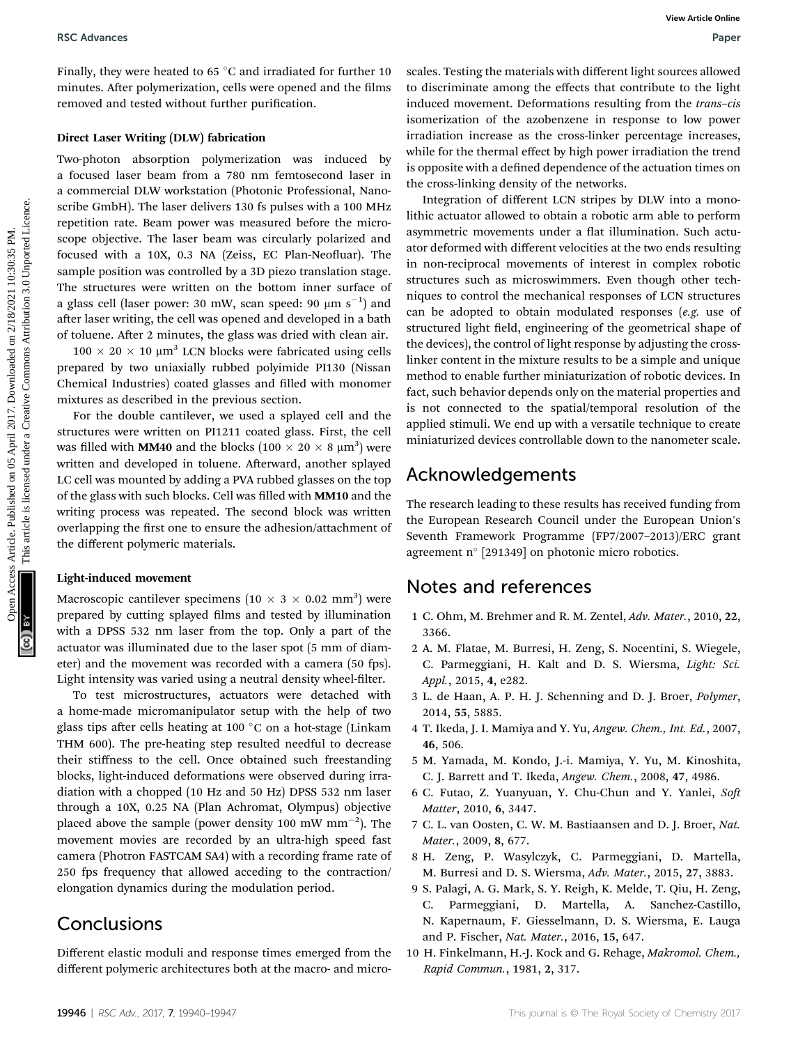Finally, they were heated to 65  $^{\circ}$ C and irradiated for further 10 minutes. After polymerization, cells were opened and the films removed and tested without further purification.

#### Direct Laser Writing (DLW) fabrication

Two-photon absorption polymerization was induced by a focused laser beam from a 780 nm femtosecond laser in a commercial DLW workstation (Photonic Professional, Nanoscribe GmbH). The laser delivers 130 fs pulses with a 100 MHz repetition rate. Beam power was measured before the microscope objective. The laser beam was circularly polarized and focused with a 10X, 0.3 NA (Zeiss, EC Plan-Neofluar). The sample position was controlled by a 3D piezo translation stage. The structures were written on the bottom inner surface of a glass cell (laser power: 30 mW, scan speed: 90  $\mu$ m s $^{-1})$  and after laser writing, the cell was opened and developed in a bath of toluene. After 2 minutes, the glass was dried with clean air.

 $100 \times 20 \times 10 \mu m^3$  LCN blocks were fabricated using cells prepared by two uniaxially rubbed polyimide PI130 (Nissan Chemical Industries) coated glasses and filled with monomer mixtures as described in the previous section.

For the double cantilever, we used a splayed cell and the structures were written on PI1211 coated glass. First, the cell was filled with **MM40** and the blocks  $(100 \times 20 \times 8 \mu m^3)$  were written and developed in toluene. Afterward, another splayed LC cell was mounted by adding a PVA rubbed glasses on the top of the glass with such blocks. Cell was filled with MM10 and the writing process was repeated. The second block was written overlapping the first one to ensure the adhesion/attachment of the different polymeric materials.

#### Light-induced movement

Macroscopic cantilever specimens  $(10 \times 3 \times 0.02 \text{ mm}^3)$  were prepared by cutting splayed films and tested by illumination with a DPSS 532 nm laser from the top. Only a part of the actuator was illuminated due to the laser spot (5 mm of diameter) and the movement was recorded with a camera (50 fps). Light intensity was varied using a neutral density wheel-filter.

To test microstructures, actuators were detached with a home-made micromanipulator setup with the help of two glass tips after cells heating at 100 °C on a hot-stage (Linkam THM 600). The pre-heating step resulted needful to decrease their stiffness to the cell. Once obtained such freestanding blocks, light-induced deformations were observed during irradiation with a chopped (10 Hz and 50 Hz) DPSS 532 nm laser through a 10X, 0.25 NA (Plan Achromat, Olympus) objective placed above the sample (power density 100 mW mm $^{-2}$ ). The movement movies are recorded by an ultra-high speed fast camera (Photron FASTCAM SA4) with a recording frame rate of 250 fps frequency that allowed acceding to the contraction/ elongation dynamics during the modulation period.

### **Conclusions**

Different elastic moduli and response times emerged from the different polymeric architectures both at the macro- and microscales. Testing the materials with different light sources allowed to discriminate among the effects that contribute to the light induced movement. Deformations resulting from the trans–cis isomerization of the azobenzene in response to low power irradiation increase as the cross-linker percentage increases, while for the thermal effect by high power irradiation the trend is opposite with a defined dependence of the actuation times on the cross-linking density of the networks.

Integration of different LCN stripes by DLW into a monolithic actuator allowed to obtain a robotic arm able to perform asymmetric movements under a flat illumination. Such actuator deformed with different velocities at the two ends resulting in non-reciprocal movements of interest in complex robotic structures such as microswimmers. Even though other techniques to control the mechanical responses of LCN structures can be adopted to obtain modulated responses (e.g. use of structured light field, engineering of the geometrical shape of the devices), the control of light response by adjusting the crosslinker content in the mixture results to be a simple and unique method to enable further miniaturization of robotic devices. In fact, such behavior depends only on the material properties and is not connected to the spatial/temporal resolution of the applied stimuli. We end up with a versatile technique to create miniaturized devices controllable down to the nanometer scale. BSC Advances Section on 05 °C and leading for further 10 scales. The<br>injerious and propose and the section of the section of the section of the section of the<br>section of the section of the section of the section of the se

### Acknowledgements

The research leading to these results has received funding from the European Research Council under the European Union's Seventh Framework Programme (FP7/2007–2013)/ERC grant agreement n°  $[291349]$  on photonic micro robotics.

### Notes and references

- 1 C. Ohm, M. Brehmer and R. M. Zentel, Adv. Mater., 2010, 22, 3366.
- 2 A. M. Flatae, M. Burresi, H. Zeng, S. Nocentini, S. Wiegele, C. Parmeggiani, H. Kalt and D. S. Wiersma, Light: Sci. Appl., 2015, 4, e282.
- 3 L. de Haan, A. P. H. J. Schenning and D. J. Broer, Polymer, 2014, 55, 5885.
- 4 T. Ikeda, J. I. Mamiya and Y. Yu, Angew. Chem., Int. Ed., 2007, 46, 506.
- 5 M. Yamada, M. Kondo, J.-i. Mamiya, Y. Yu, M. Kinoshita, C. J. Barrett and T. Ikeda, Angew. Chem., 2008, 47, 4986.
- 6 C. Futao, Z. Yuanyuan, Y. Chu-Chun and Y. Yanlei, So Matter, 2010, 6, 3447.
- 7 C. L. van Oosten, C. W. M. Bastiaansen and D. J. Broer, Nat. Mater., 2009, 8, 677.
- 8 H. Zeng, P. Wasylczyk, C. Parmeggiani, D. Martella, M. Burresi and D. S. Wiersma, Adv. Mater., 2015, 27, 3883.
- 9 S. Palagi, A. G. Mark, S. Y. Reigh, K. Melde, T. Qiu, H. Zeng, C. Parmeggiani, D. Martella, A. Sanchez-Castillo, N. Kapernaum, F. Giesselmann, D. S. Wiersma, E. Lauga and P. Fischer, Nat. Mater., 2016, 15, 647.
- 10 H. Finkelmann, H.-J. Kock and G. Rehage, Makromol. Chem., Rapid Commun., 1981, 2, 317.